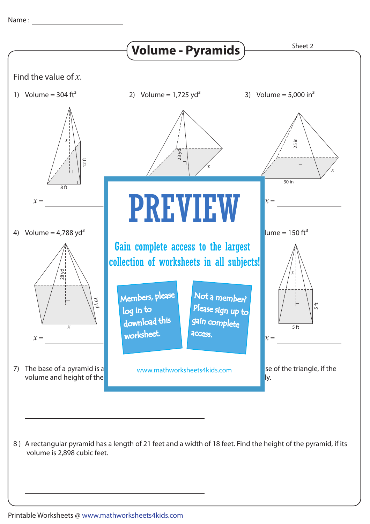